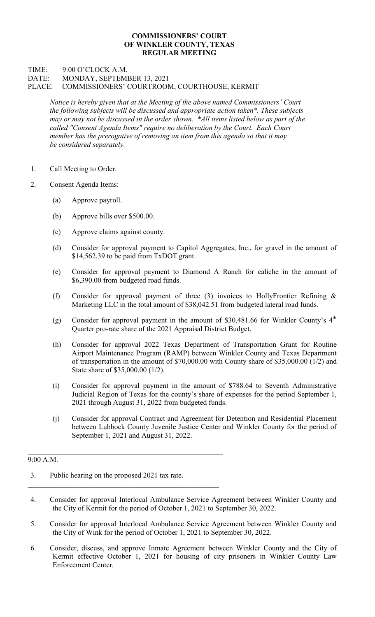## COMMISSIONERS' COURT OF WINKLER COUNTY, TEXAS REGULAR MEETING

## TIME: 9:00 O'CLOCK A.M. DATE: MONDAY, SEPTEMBER 13, 2021 PLACE: COMMISSIONERS' COURTROOM, COURTHOUSE, KERMIT

Notice is hereby given that at the Meeting of the above named Commissioners' Court the following subjects will be discussed and appropriate action taken\*. These subjects may or may not be discussed in the order shown. \*All items listed below as part of the called "Consent Agenda Items" require no deliberation by the Court. Each Court member has the prerogative of removing an item from this agenda so that it may be considered separately.

- 1. Call Meeting to Order.
- 2. Consent Agenda Items:
	- (a) Approve payroll.
	- (b) Approve bills over \$500.00.
	- (c) Approve claims against county.
	- (d) Consider for approval payment to Capitol Aggregates, Inc., for gravel in the amount of \$14,562.39 to be paid from TxDOT grant.
	- (e) Consider for approval payment to Diamond A Ranch for caliche in the amount of \$6,390.00 from budgeted road funds.
	- (f) Consider for approval payment of three (3) invoices to HollyFrontier Refining & Marketing LLC in the total amount of \$38,042.51 from budgeted lateral road funds.
	- (g) Consider for approval payment in the amount of \$30,481.66 for Winkler County's  $4<sup>th</sup>$ Quarter pro-rate share of the 2021 Appraisal District Budget.
	- (h) Consider for approval 2022 Texas Department of Transportation Grant for Routine Airport Maintenance Program (RAMP) between Winkler County and Texas Department of transportation in the amount of \$70,000.00 with County share of \$35,000.00 (1/2) and State share of \$35,000.00 (1/2).
	- (i) Consider for approval payment in the amount of \$788.64 to Seventh Administrative Judicial Region of Texas for the county's share of expenses for the period September 1, 2021 through August 31, 2022 from budgeted funds.
	- (j) Consider for approval Contract and Agreement for Detention and Residential Placement between Lubbock County Juvenile Justice Center and Winkler County for the period of September 1, 2021 and August 31, 2022.

## $9:00 A.M.$

- 3. Public hearing on the proposed 2021 tax rate.
- 4. Consider for approval Interlocal Ambulance Service Agreement between Winkler County and the City of Kermit for the period of October 1, 2021 to September 30, 2022.
- 5. Consider for approval Interlocal Ambulance Service Agreement between Winkler County and the City of Wink for the period of October 1, 2021 to September 30, 2022.
- 6. Consider, discuss, and approve Inmate Agreement between Winkler County and the City of Kermit effective October 1, 2021 for housing of city prisoners in Winkler County Law Enforcement Center.